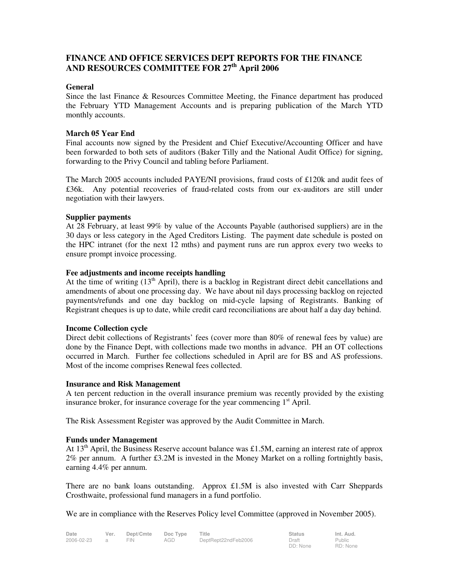# **FINANCE AND OFFICE SERVICES DEPT REPORTS FOR THE FINANCE AND RESOURCES COMMITTEE FOR 27th April 2006**

#### **General**

Since the last Finance & Resources Committee Meeting, the Finance department has produced the February YTD Management Accounts and is preparing publication of the March YTD monthly accounts.

### **March 05 Year End**

Final accounts now signed by the President and Chief Executive/Accounting Officer and have been forwarded to both sets of auditors (Baker Tilly and the National Audit Office) for signing, forwarding to the Privy Council and tabling before Parliament.

The March 2005 accounts included PAYE/NI provisions, fraud costs of £120k and audit fees of £36k.Any potential recoveries of fraud-related costs from our ex-auditors are still under negotiation with their lawyers.

### **Supplier payments**

At 28 February, at least 99% by value of the Accounts Payable (authorised suppliers) are in the 30 days or less category in the Aged Creditors Listing. The payment date schedule is posted on the HPC intranet (for the next 12 mths) and payment runs are run approx every two weeks to ensure prompt invoice processing.

### **Fee adjustments and income receipts handling**

At the time of writing  $(13<sup>th</sup>$  April), there is a backlog in Registrant direct debit cancellations and amendments of about one processing day. We have about nil days processing backlog on rejected payments/refunds and one day backlog on mid-cycle lapsing of Registrants. Banking of Registrant cheques is up to date, while credit card reconciliations are about half a day day behind.

### **Income Collection cycle**

Direct debit collections of Registrants' fees (cover more than 80% of renewal fees by value) are done by the Finance Dept, with collections made two months in advance. PH an OT collections occurred in March. Further fee collections scheduled in April are for BS and AS professions. Most of the income comprises Renewal fees collected.

### **Insurance and Risk Management**

A ten percent reduction in the overall insurance premium was recently provided by the existing insurance broker, for insurance coverage for the year commencing  $1<sup>st</sup>$  April.

The Risk Assessment Register was approved by the Audit Committee in March.

### **Funds under Management**

At 13<sup>th</sup> April, the Business Reserve account balance was £1.5M, earning an interest rate of approx 2% per annum. A further £3.2M is invested in the Money Market on a rolling fortnightly basis, earning 4.4% per annum.

There are no bank loans outstanding. Approx  $\pounds$ 1.5M is also invested with Carr Sheppards Crosthwaite, professional fund managers in a fund portfolio.

We are in compliance with the Reserves Policy level Committee (approved in November 2005).

| Date       | Ver. | Dept/Cmte Doc Type Title |     |                     | <b>Status</b> | Int. Aud. |
|------------|------|--------------------------|-----|---------------------|---------------|-----------|
| 2006-02-23 |      | FIN.                     | AGD | DeptRept22ndFeb2006 | Draft         | Public    |

DD: None Public RD: None